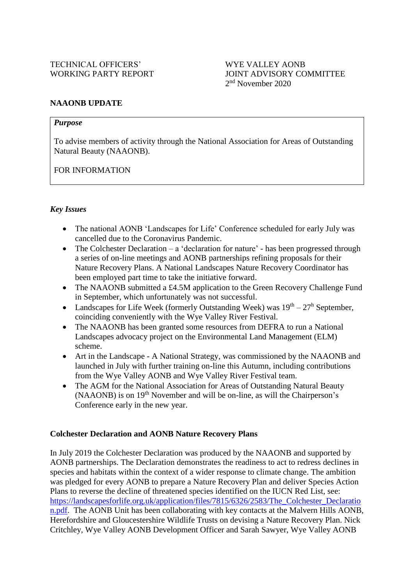### **NAAONB UPDATE**

#### *Purpose*

To advise members of activity through the National Association for Areas of Outstanding Natural Beauty (NAAONB).

FOR INFORMATION

#### *Key Issues*

- The national AONB 'Landscapes for Life' Conference scheduled for early July was cancelled due to the Coronavirus Pandemic.
- The Colchester Declaration a 'declaration for nature' has been progressed through a series of on-line meetings and AONB partnerships refining proposals for their Nature Recovery Plans. A National Landscapes Nature Recovery Coordinator has been employed part time to take the initiative forward.
- The NAAONB submitted a £4.5M application to the Green Recovery Challenge Fund in September, which unfortunately was not successful.
- Landscapes for Life Week (formerly Outstanding Week) was  $19<sup>th</sup> 27<sup>h</sup>$  September, coinciding conveniently with the Wye Valley River Festival.
- The NAAONB has been granted some resources from DEFRA to run a National Landscapes advocacy project on the Environmental Land Management (ELM) scheme.
- Art in the Landscape A National Strategy, was commissioned by the NAAONB and launched in July with further training on-line this Autumn, including contributions from the Wye Valley AONB and Wye Valley River Festival team.
- The AGM for the National Association for Areas of Outstanding Natural Beauty  $(NAAONB)$  is on  $19<sup>th</sup>$  November and will be on-line, as will the Chairperson's Conference early in the new year.

#### **Colchester Declaration and AONB Nature Recovery Plans**

In July 2019 the Colchester Declaration was produced by the NAAONB and supported by AONB partnerships. The Declaration demonstrates the readiness to act to redress declines in species and habitats within the context of a wider response to climate change. The ambition was pledged for every AONB to prepare a Nature Recovery Plan and deliver Species Action Plans to reverse the decline of threatened species identified on the IUCN Red List, see: https://landscapesforlife.org.uk/application/files/7815/6326/2583/The Colchester Declaratio [n.pdf.](https://landscapesforlife.org.uk/application/files/7815/6326/2583/The_Colchester_Declaration.pdf) The AONB Unit has been collaborating with key contacts at the Malvern Hills AONB, Herefordshire and Gloucestershire Wildlife Trusts on devising a Nature Recovery Plan. Nick Critchley, Wye Valley AONB Development Officer and Sarah Sawyer, Wye Valley AONB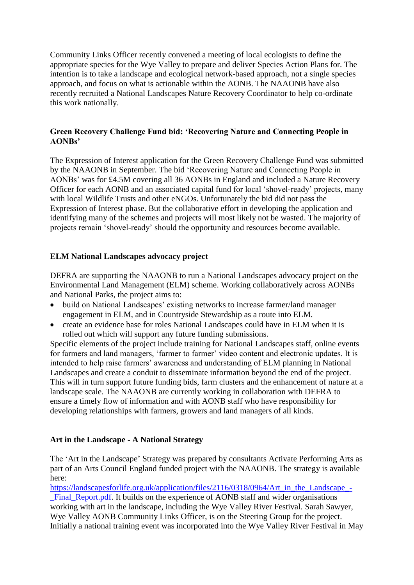Community Links Officer recently convened a meeting of local ecologists to define the appropriate species for the Wye Valley to prepare and deliver Species Action Plans for. The intention is to take a landscape and ecological network-based approach, not a single species approach, and focus on what is actionable within the AONB. The NAAONB have also recently recruited a National Landscapes Nature Recovery Coordinator to help co-ordinate this work nationally.

# **Green Recovery Challenge Fund bid: 'Recovering Nature and Connecting People in AONBs'**

The Expression of Interest application for the Green Recovery Challenge Fund was submitted by the NAAONB in September. The bid 'Recovering Nature and Connecting People in AONBs' was for £4.5M covering all 36 AONBs in England and included a Nature Recovery Officer for each AONB and an associated capital fund for local 'shovel-ready' projects, many with local Wildlife Trusts and other eNGOs. Unfortunately the bid did not pass the Expression of Interest phase. But the collaborative effort in developing the application and identifying many of the schemes and projects will most likely not be wasted. The majority of projects remain 'shovel-ready' should the opportunity and resources become available.

# **ELM National Landscapes advocacy project**

DEFRA are supporting the NAAONB to run a National Landscapes advocacy project on the Environmental Land Management (ELM) scheme. Working collaboratively across AONBs and National Parks, the project aims to:

- build on National Landscapes' existing networks to increase farmer/land manager engagement in ELM, and in Countryside Stewardship as a route into ELM.
- create an evidence base for roles National Landscapes could have in ELM when it is rolled out which will support any future funding submissions.

Specific elements of the project include training for National Landscapes staff, online events for farmers and land managers, 'farmer to farmer' video content and electronic updates. It is intended to help raise farmers' awareness and understanding of ELM planning in National Landscapes and create a conduit to disseminate information beyond the end of the project. This will in turn support future funding bids, farm clusters and the enhancement of nature at a landscape scale. The NAAONB are currently working in collaboration with DEFRA to ensure a timely flow of information and with AONB staff who have responsibility for developing relationships with farmers, growers and land managers of all kinds.

### **Art in the Landscape - A National Strategy**

The 'Art in the Landscape' Strategy was prepared by consultants Activate Performing Arts as part of an Arts Council England funded project with the NAAONB. The strategy is available here:

[https://landscapesforlife.org.uk/application/files/2116/0318/0964/Art\\_in\\_the\\_Landscape\\_-](https://landscapesforlife.org.uk/application/files/2116/0318/0964/Art_in_the_Landscape_-_Final_Report.pdf)

Final Report.pdf. It builds on the experience of AONB staff and wider organisations working with art in the landscape, including the Wye Valley River Festival. Sarah Sawyer, Wye Valley AONB Community Links Officer, is on the Steering Group for the project. Initially a national training event was incorporated into the Wye Valley River Festival in May